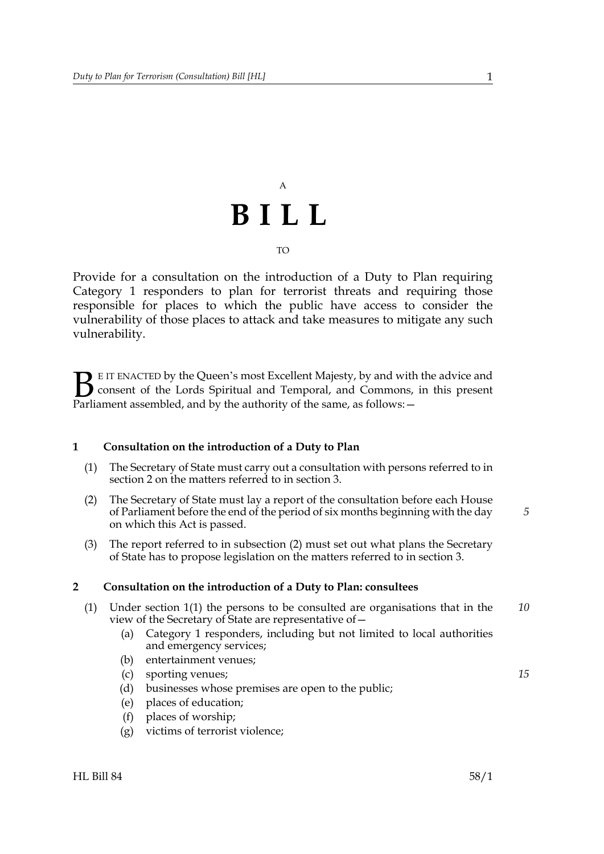## A **BILL** TO

Provide for a consultation on the introduction of a Duty to Plan requiring Category 1 responders to plan for terrorist threats and requiring those responsible for places to which the public have access to consider the vulnerability of those places to attack and take measures to mitigate any such vulnerability.

E IT ENACTED by the Queen's most Excellent Majesty, by and with the advice and consent of the Lords Spiritual and Temporal, and Commons, in this present **B** E IT ENACTED by the Queen's most Excellent Majesty, by and with consent of the Lords Spiritual and Temporal, and Commons, Parliament assembled, and by the authority of the same, as follows:  $-$ 

#### <span id="page-0-1"></span>**1 Consultation on the introduction of a Duty to Plan**

- (1) The Secretary of State must carry out a consultation with persons referred to in section [2](#page-0-0) on the matters referred to in section [3](#page-1-0).
- <span id="page-0-2"></span>(2) The Secretary of State must lay a report of the consultation before each House of Parliament before the end of the period of six months beginning with the day on which this Act is passed.
- (3) The report referred to in subsection [\(2\)](#page-0-2) must set out what plans the Secretary of State has to propose legislation on the matters referred to in section [3](#page-1-0).

#### <span id="page-0-0"></span>**2 Consultation on the introduction of a Duty to Plan: consultees**

- <span id="page-0-3"></span>(1) Under section [1](#page-0-1)[\(1\)](#page-0-3) the persons to be consulted are organisations that in the view of the Secretary of State are representative of— *10*
	- (a) Category 1 responders, including but not limited to local authorities and emergency services;
	- (b) entertainment venues;
	- (c) sporting venues;
	- (d) businesses whose premises are open to the public;
	- (e) places of education;
	- (f) places of worship;
	- (g) victims of terrorist violence;

*5*

*15*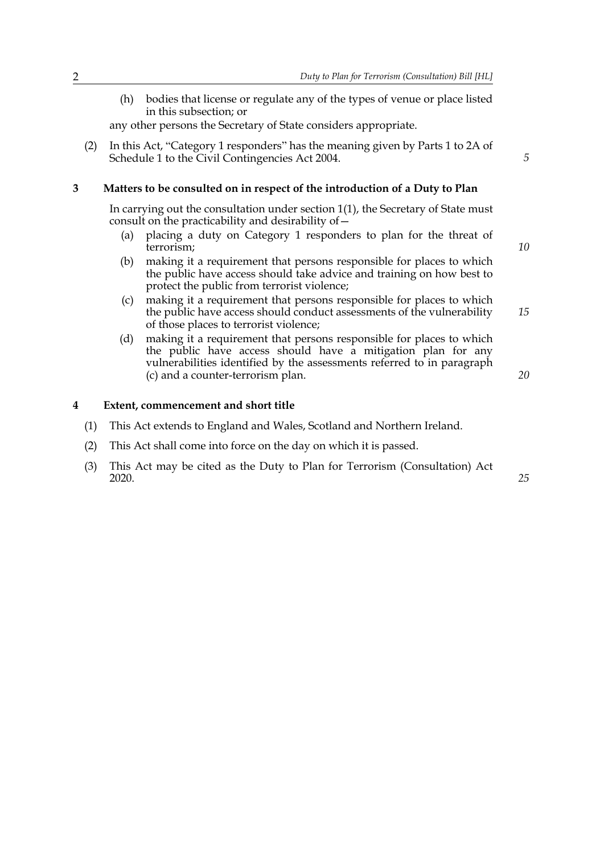(h) bodies that license or regulate any of the types of venue or place listed in this subsection; or

any other persons the Secretary of State considers appropriate.

(2) In this Act, "Category 1 responders" has the meaning given by Parts 1 to 2A of Schedule 1 to the Civil Contingencies Act 2004.

#### <span id="page-1-0"></span>**3 Matters to be consulted on in respect of the introduction of a Duty to Plan**

In carrying out the consultation under section [1](#page-0-1)(1), the Secretary of State must consult on the practicability and desirability of—

- (a) placing a duty on Category 1 responders to plan for the threat of terrorism;
- (b) making it a requirement that persons responsible for places to which the public have access should take advice and training on how best to protect the public from terrorist violence;
- <span id="page-1-1"></span>(c) making it a requirement that persons responsible for places to which the public have access should conduct assessments of the vulnerability of those places to terrorist violence;
- (d) making it a requirement that persons responsible for places to which the public have access should have a mitigation plan for any vulnerabilities identified by the assessments referred to in paragraph [\(c\)](#page-1-1) and a counter-terrorism plan.

#### **4 Extent, commencement and short title**

- (1) This Act extends to England and Wales, Scotland and Northern Ireland.
- (2) This Act shall come into force on the day on which it is passed.
- (3) This Act may be cited as the Duty to Plan for Terrorism (Consultation) Act 2020.

*10*

*5*

*20*

*15*

### *25*